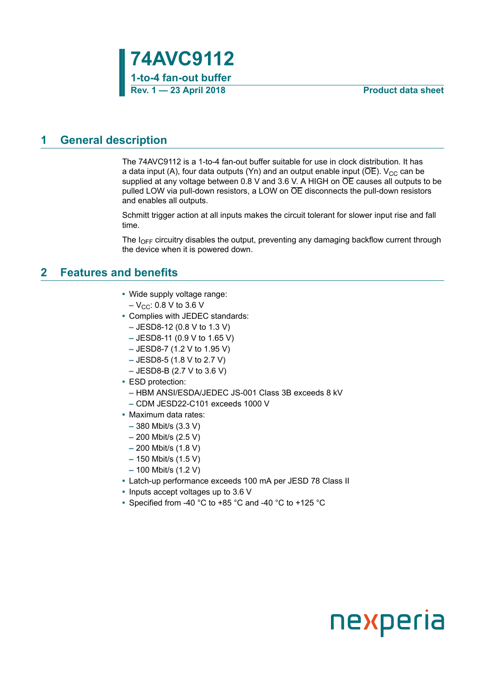

### <span id="page-0-0"></span>**1 General description**

The 74AVC9112 is a 1-to-4 fan-out buffer suitable for use in clock distribution. It has a data input (A), four data outputs (Yn) and an output enable input ( $\overline{OE}$ ). V<sub>CC</sub> can be supplied at any voltage between 0.8 V and 3.6 V. A HIGH on  $\overline{OE}$  causes all outputs to be pulled LOW via pull-down resistors, a LOW on OE disconnects the pull-down resistors and enables all outputs.

Schmitt trigger action at all inputs makes the circuit tolerant for slower input rise and fall time.

The  $I_{\text{OFF}}$  circuitry disables the output, preventing any damaging backflow current through the device when it is powered down.

#### <span id="page-0-1"></span>**2 Features and benefits**

- **•** Wide supply voltage range:
	- $-V_{\text{CC}}$ : 0.8 V to 3.6 V
- **•** Complies with JEDEC standards:
	- **–** JESD8-12 (0.8 V to 1.3 V)
	- **–** JESD8-11 (0.9 V to 1.65 V)
	- **–** JESD8-7 (1.2 V to 1.95 V)
	- **–** JESD8-5 (1.8 V to 2.7 V)
	- **–** JESD8-B (2.7 V to 3.6 V)
- **•** ESD protection:
	- **–** HBM ANSI/ESDA/JEDEC JS-001 Class 3B exceeds 8 kV
	- **–** CDM JESD22-C101 exceeds 1000 V
- **•** Maximum data rates:
	- **–** 380 Mbit/s (3.3 V)
	- **–** 200 Mbit/s (2.5 V)
	- **–** 200 Mbit/s (1.8 V)
	- **–** 150 Mbit/s (1.5 V)
	- **–** 100 Mbit/s (1.2 V)
- **•** Latch-up performance exceeds 100 mA per JESD 78 Class II
- **•** Inputs accept voltages up to 3.6 V
- **•** Specified from -40 °C to +85 °C and -40 °C to +125 °C

# nexperia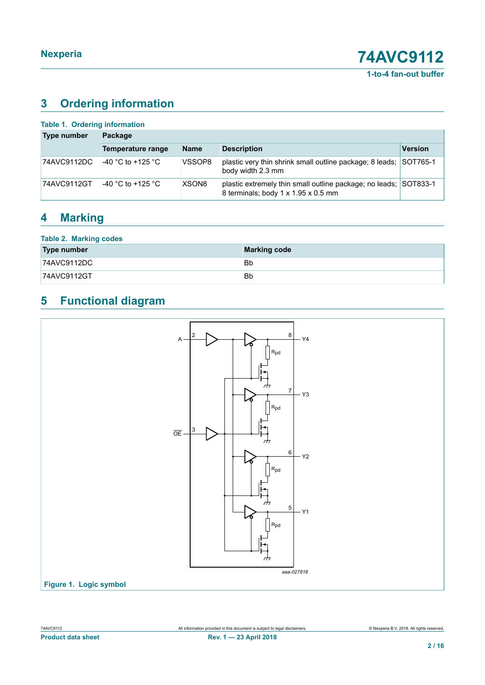## <span id="page-1-0"></span>**3 Ordering information**

|             | <b>Table 1. Ordering information</b> |                   |                                                                                                |                |  |  |  |  |
|-------------|--------------------------------------|-------------------|------------------------------------------------------------------------------------------------|----------------|--|--|--|--|
| Type number | Package                              |                   |                                                                                                |                |  |  |  |  |
|             | Temperature range                    | <b>Name</b>       | <b>Description</b>                                                                             | <b>Version</b> |  |  |  |  |
| 74AVC9112DC | $-40$ °C to +125 °C                  | VSSOP8            | plastic very thin shrink small outline package; 8 leads;<br>body width 2.3 mm                  | SOT765-1       |  |  |  |  |
| 74AVC9112GT | $-40$ °C to +125 °C                  | XSON <sub>8</sub> | plastic extremely thin small outline package; no leads;<br>8 terminals; body 1 x 1.95 x 0.5 mm | SOT833-1       |  |  |  |  |

## <span id="page-1-1"></span>**4 Marking**

| <b>Table 2. Marking codes</b> |                     |
|-------------------------------|---------------------|
| Type number                   | <b>Marking code</b> |
| 74AVC9112DC                   | <b>Bb</b>           |
| 74AVC9112GT                   | <b>Bb</b>           |

## <span id="page-1-2"></span>**5 Functional diagram**

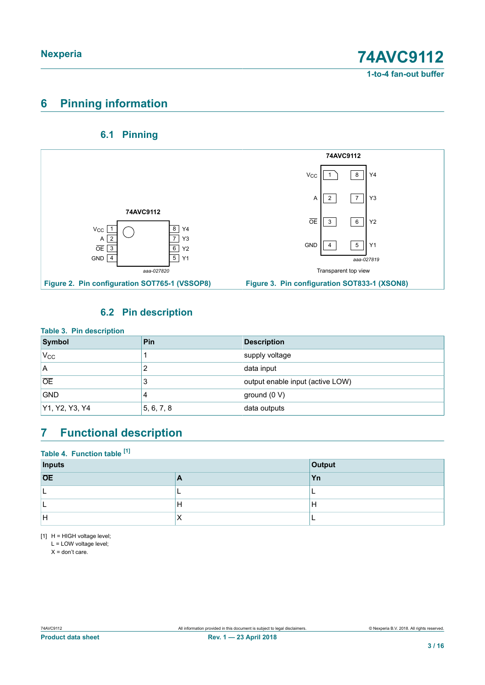## <span id="page-2-1"></span>**6 Pinning information**

## <span id="page-2-2"></span><span id="page-2-0"></span>**6.1 Pinning**



## <span id="page-2-3"></span>**6.2 Pin description**

| <b>Table 3. Pin description</b> |            |                                  |  |  |  |  |
|---------------------------------|------------|----------------------------------|--|--|--|--|
| Symbol                          | Pin        | <b>Description</b>               |  |  |  |  |
| $V_{\rm CC}$                    |            | supply voltage                   |  |  |  |  |
| ΙA                              |            | data input                       |  |  |  |  |
| <b>OE</b>                       | 3          | output enable input (active LOW) |  |  |  |  |
| <b>GND</b>                      |            | ground (0 V)                     |  |  |  |  |
| Y1, Y2, Y3, Y4                  | 5, 6, 7, 8 | data outputs                     |  |  |  |  |

## <span id="page-2-4"></span>**7 Functional description**

#### **Table 4. Function table [\[1\]](#page-2-0)**

| Inputs          |   | Output |
|-----------------|---|--------|
| $\overline{OE}$ | A | Yn     |
|                 |   |        |
|                 | Н | H      |
| н               | ↗ |        |

[1] H = HIGH voltage level;

L = LOW voltage level;

 $X =$  don't care.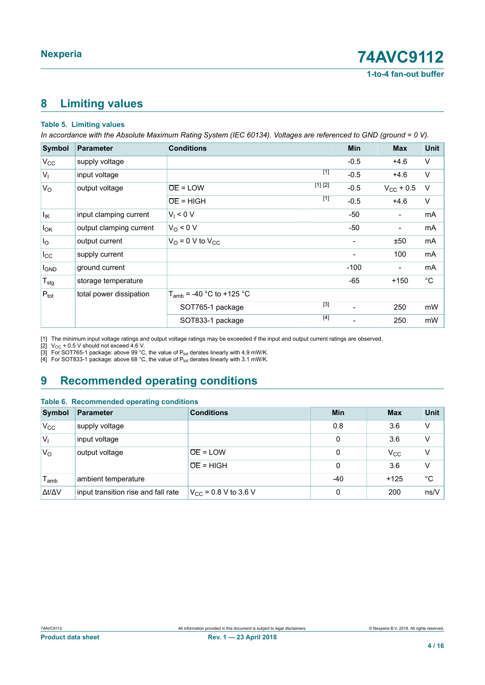## <span id="page-3-4"></span><span id="page-3-1"></span><span id="page-3-0"></span>**8 Limiting values**

#### <span id="page-3-3"></span><span id="page-3-2"></span>**Table 5. Limiting values**

In accordance with the Absolute Maximum Rating System (IEC 60134). Voltages are referenced to GND (ground = 0 V).

| Symbol           | <b>Parameter</b>        | <b>Conditions</b>                     | Min                      | <b>Max</b>               | <b>Unit</b>  |
|------------------|-------------------------|---------------------------------------|--------------------------|--------------------------|--------------|
| $V_{\rm CC}$     | supply voltage          |                                       | $-0.5$                   | $+4.6$                   | V            |
| $V_{1}$          | input voltage           | $[1]$                                 | $-0.5$                   | $+4.6$                   | V            |
| $V_{\rm O}$      | output voltage          | [1] [2]<br>$\overline{OE}$ = LOW      | $-0.5$                   | $V_{CC}$ + 0.5           | $\vee$       |
|                  |                         | [1]<br>$OE = HIGH$                    | $-0.5$                   | $+4.6$                   | V            |
| $ I_{IK} $       | input clamping current  | $V_1 < 0 V$                           | -50                      | $\overline{\phantom{a}}$ | mA           |
| $I_{OK}$         | output clamping current | $V_O < 0 V$                           | -50                      | $\overline{\phantom{a}}$ | mA           |
| $I_{\rm O}$      | output current          | $V_{\Omega}$ = 0 V to $V_{\text{CC}}$ | $\overline{\phantom{a}}$ | ±50                      | mA           |
| $I_{\rm CC}$     | supply current          |                                       |                          | 100                      | mA           |
| <b>I</b> GND     | ground current          |                                       | $-100$                   | $\overline{\phantom{a}}$ | mA           |
| $T_{\text{stg}}$ | storage temperature     |                                       | -65                      | $+150$                   | $^{\circ}$ C |
| $P_{\text{tot}}$ | total power dissipation | $T_{amb}$ = -40 °C to +125 °C         |                          |                          |              |
|                  |                         | $[3]$<br>SOT765-1 package             |                          | 250                      | mW           |
|                  |                         | $[4]$<br>SOT833-1 package             |                          | 250                      | mW           |

[1] The minimum input voltage ratings and output voltage ratings may be exceeded if the input and output current ratings are observed.

 $[2]$   $V_{CC}$  + 0.5 V should not exceed 4.6 V.

[3] For SOT765-1 package: above 99 °C, the value of  $\mathsf{P}_{\mathsf{tot}}$  derates linearly with 4.9 mW/K.

[4] For SOT833-1 package: above 68 °C, the value of  $P_{\text{tot}}$  derates linearly with 3.1 mW/K.

## <span id="page-3-5"></span>**9 Recommended operating conditions**

#### **Table 6. Recommended operating conditions**

| Symbol                      | <b>Parameter</b>                    | <b>Conditions</b>         | Min | <b>Max</b>   | <b>Unit</b> |
|-----------------------------|-------------------------------------|---------------------------|-----|--------------|-------------|
| $V_{\rm CC}$                | supply voltage                      |                           | 0.8 | 3.6          | $\vee$      |
| V <sub>1</sub>              | input voltage                       |                           | 0   | 3.6          | v           |
| $V_{\rm O}$                 | output voltage                      | $\overline{OE}$ = LOW     | 0   | $V_{\rm CC}$ | V           |
|                             |                                     | $\overline{OE}$ = HIGH    | 0   | 3.6          | v           |
| $\mathsf{T}_{\mathsf{amb}}$ | ambient temperature                 |                           | -40 | $+125$       | $^{\circ}C$ |
| $\Delta t/\Delta V$         | input transition rise and fall rate | $V_{CC}$ = 0.8 V to 3.6 V | 0   | 200          | ns/V        |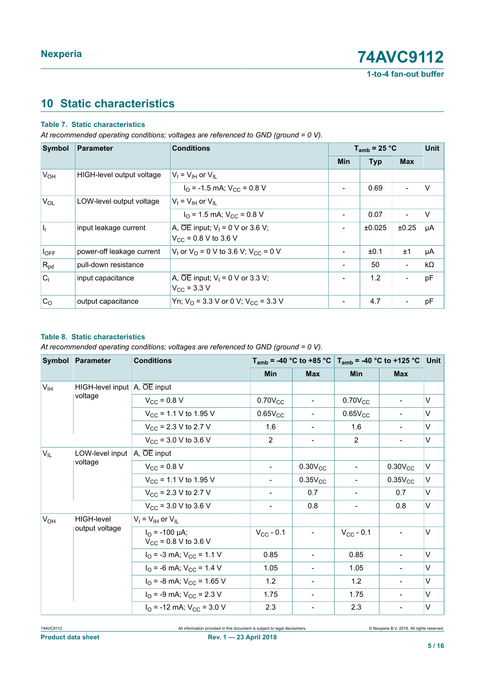## <span id="page-4-0"></span>**10 Static characteristics**

#### **Table 7. Static characteristics**

*At recommended operating conditions; voltages are referenced to GND (ground = 0 V).*

| <b>Symbol</b>  | <b>Parameter</b>          | <b>Conditions</b>                                                                |                              | $T_{amb}$ = 25 °C |                |    |  |
|----------------|---------------------------|----------------------------------------------------------------------------------|------------------------------|-------------------|----------------|----|--|
|                |                           |                                                                                  | <b>Min</b>                   | <b>Typ</b>        | <b>Max</b>     |    |  |
| $V_{OH}$       | HIGH-level output voltage | $V_1 = V_{1H}$ or $V_{II}$                                                       |                              |                   |                |    |  |
|                |                           | $I_{\text{O}}$ = -1.5 mA; $V_{\text{CC}}$ = 0.8 V                                |                              | 0.69              |                | V  |  |
| $V_{OL}$       | LOW-level output voltage  | $V_1 = V_{1H}$ or $V_{II}$                                                       |                              |                   |                |    |  |
|                |                           | $I_{\text{O}}$ = 1.5 mA; $V_{\text{CC}}$ = 0.8 V                                 | $\overline{\phantom{a}}$     | 0.07              | $\overline{a}$ | V  |  |
| h              | input leakage current     | A, $\overline{OE}$ input; $V_1 = 0$ V or 3.6 V;<br>$V_{\rm CC}$ = 0.8 V to 3.6 V | $\blacksquare$               | ±0.025            | ±0.25          | μA |  |
| loff           | power-off leakage current | V <sub>1</sub> or V <sub>0</sub> = 0 V to 3.6 V; V <sub>CC</sub> = 0 V           | $\qquad \qquad \blacksquare$ | ±0.1              | ±1             | μA |  |
| $R_{pd}$       | pull-down resistance      |                                                                                  | $\overline{\phantom{a}}$     | 50                | ۰              | kΩ |  |
| C <sub>1</sub> | input capacitance         | A, $\overline{OE}$ input; $V_1 = 0$ V or 3.3 V;<br>$V_{\rm CC}$ = 3.3 V          | $\blacksquare$               | 1.2               | -              | pF |  |
| C <sub>O</sub> | output capacitance        | Yn; $V_O$ = 3.3 V or 0 V; $V_{CC}$ = 3.3 V                                       |                              | 4.7               |                | рF |  |

#### **Table 8. Static characteristics**

*At recommended operating conditions; voltages are referenced to GND (ground = 0 V).*

|                 | Symbol Parameter                           | <b>Conditions</b>                                    |                          | $T_{amb}$ = -40 °C to +85 °C | $T_{amb}$ = -40 °C to +125 °C Unit |                              |        |
|-----------------|--------------------------------------------|------------------------------------------------------|--------------------------|------------------------------|------------------------------------|------------------------------|--------|
|                 |                                            |                                                      | Min                      | <b>Max</b>                   | <b>Min</b>                         | <b>Max</b>                   |        |
| V <sub>IH</sub> | HIGH-level input $ A, \overline{OE}$ input |                                                      |                          |                              |                                    |                              |        |
|                 | voltage                                    | $V_{\rm CC}$ = 0.8 V                                 | $0.70V_{CC}$             | $\overline{\phantom{a}}$     | $0.70V_{CC}$                       | $\overline{\phantom{a}}$     | V      |
|                 |                                            | $V_{CC}$ = 1.1 V to 1.95 V                           | $0.65V_{CC}$             | $\overline{\phantom{a}}$     | $0.65V_{CC}$                       | $\overline{\phantom{a}}$     | $\vee$ |
|                 |                                            | $V_{\text{CC}}$ = 2.3 V to 2.7 V                     | 1.6                      | $\overline{\phantom{a}}$     | 1.6                                |                              | V      |
|                 |                                            | $V_{CC}$ = 3.0 V to 3.6 V                            | 2                        | $\qquad \qquad \blacksquare$ | 2                                  | $\blacksquare$               | $\vee$ |
| $V_{IL}$        | LOW-level input                            | A, OE input                                          |                          |                              |                                    |                              |        |
|                 | voltage                                    | $V_{CC}$ = 0.8 V                                     | $\blacksquare$           | $0.30V_{CC}$                 | $\overline{\phantom{a}}$           | $0.30V_{CC}$                 | V      |
|                 |                                            | $V_{\text{CC}}$ = 1.1 V to 1.95 V                    | $\blacksquare$           | $0.35V_{CC}$                 | $\overline{\phantom{a}}$           | $0.35V_{CC}$                 | V      |
|                 |                                            | $V_{CC}$ = 2.3 V to 2.7 V                            | $\overline{\phantom{a}}$ | 0.7                          | $\overline{\phantom{a}}$           | 0.7                          | $\vee$ |
|                 |                                            | $V_{CC}$ = 3.0 V to 3.6 V                            | $\overline{\phantom{a}}$ | 0.8                          | $\overline{\phantom{a}}$           | 0.8                          | $\vee$ |
| $V_{OH}$        | <b>HIGH-level</b>                          | $V_1 = V_{1H}$ or $V_{II}$                           |                          |                              |                                    |                              |        |
|                 | output voltage                             | $I_{\Omega}$ = -100 µA;<br>$V_{CC}$ = 0.8 V to 3.6 V | $V_{CC} - 0.1$           | $\overline{\phantom{a}}$     | $V_{CC} - 0.1$                     |                              | $\vee$ |
|                 |                                            | $IO$ = -3 mA; $VCC$ = 1.1 V                          | 0.85                     | $\qquad \qquad -$            | 0.85                               | $\overline{\phantom{a}}$     | $\vee$ |
|                 |                                            | $I_{\rm O}$ = -6 mA; $V_{\rm CC}$ = 1.4 V            | 1.05                     | $\overline{\phantom{a}}$     | 1.05                               | $\qquad \qquad \blacksquare$ | $\vee$ |
|                 |                                            | $IO$ = -8 mA; $VCC$ = 1.65 V                         | 1.2                      |                              | 1.2                                |                              | $\vee$ |
|                 |                                            | $I_{\rm O}$ = -9 mA; $V_{\rm CC}$ = 2.3 V            | 1.75                     | $\overline{\phantom{a}}$     | 1.75                               |                              | V      |
|                 |                                            | $I_{\Omega}$ = -12 mA; $V_{\text{CC}}$ = 3.0 V       | 2.3                      | $\qquad \qquad -$            | 2.3                                | $\overline{\phantom{a}}$     | $\vee$ |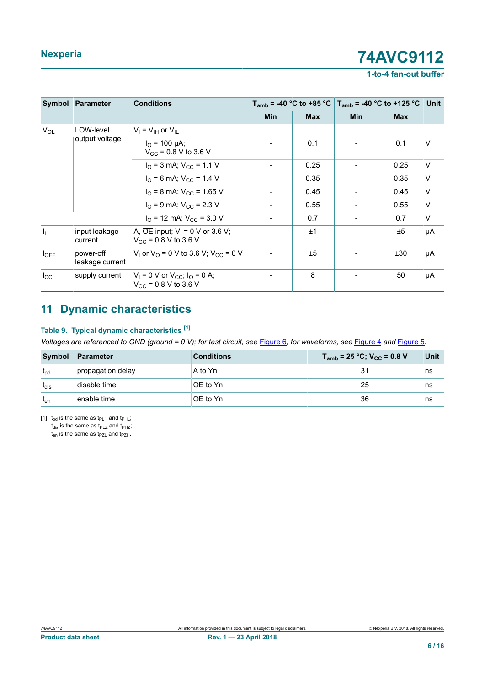#### **1-to-4 fan-out buffer**

<span id="page-5-0"></span>

| <b>Symbol Parameter</b> |                              | <b>Conditions</b>                                                                   |                          | $T_{amb}$ = -40 °C to +85 °C | $T_{amb}$ = -40 °C to +125 °C Unit |            |        |
|-------------------------|------------------------------|-------------------------------------------------------------------------------------|--------------------------|------------------------------|------------------------------------|------------|--------|
|                         |                              |                                                                                     | <b>Min</b>               | <b>Max</b>                   | <b>Min</b>                         | <b>Max</b> |        |
| <b>V<sub>OL</sub></b>   | LOW-level                    | $V_I = V_{IH}$ or $V_{IL}$                                                          |                          |                              |                                    |            |        |
|                         | output voltage               | $I_{\Omega}$ = 100 µA;<br>$V_{CC}$ = 0.8 V to 3.6 V                                 |                          | 0.1                          |                                    | 0.1        | V      |
|                         |                              | $I_{\text{O}}$ = 3 mA; $V_{\text{CC}}$ = 1.1 V                                      |                          | 0.25                         | $\overline{\phantom{0}}$           | 0.25       | $\vee$ |
|                         |                              | $I_{\text{O}}$ = 6 mA; $V_{\text{CC}}$ = 1.4 V                                      |                          | 0.35                         |                                    | 0.35       | $\vee$ |
|                         |                              | $I_{\Omega}$ = 8 mA; $V_{\text{CC}}$ = 1.65 V                                       |                          | 0.45                         |                                    | 0.45       | $\vee$ |
|                         |                              | $IO$ = 9 mA; $VCC$ = 2.3 V                                                          |                          | 0.55                         |                                    | 0.55       | V      |
|                         |                              | $I_{\Omega}$ = 12 mA; $V_{\text{CC}}$ = 3.0 V                                       |                          | 0.7                          |                                    | 0.7        | V      |
| h                       | input leakage<br>current     | A, $\overline{OE}$ input; $V_1 = 0$ V or 3.6 V;<br>$V_{\text{CC}}$ = 0.8 V to 3.6 V |                          | ±1                           |                                    | ±5         | μA     |
| <b>I</b> OFF            | power-off<br>leakage current | $V_1$ or $V_0$ = 0 V to 3.6 V; $V_{CC}$ = 0 V                                       | $\overline{\phantom{a}}$ | ±5                           | $\overline{\phantom{0}}$           | ±30        | μA     |
| $I_{\rm CC}$            | supply current               | $V_1 = 0$ V or $V_{CC}$ ; $I_0 = 0$ A;<br>$V_{CC}$ = 0.8 V to 3.6 V                 |                          | 8                            |                                    | 50         | μA     |

## <span id="page-5-1"></span>**11 Dynamic characteristics**

#### **Table 9. Typical dynamic characteristics [\[1\]](#page-5-0)**

Voltages are referenced to GND (ground = 0 V); for test circuit, see [Figure 6](#page-8-0); for waveforms, see [Figure 4](#page-7-0) and [Figure 5](#page-7-1).

| Symbol           | Parameter         | <b>Conditions</b>     | $T_{amb}$ = 25 °C; V <sub>CC</sub> = 0.8 V | Unit |
|------------------|-------------------|-----------------------|--------------------------------------------|------|
| $t_{\text{pd}}$  | propagation delay | A to Yn               | 31                                         | ns   |
| t <sub>dis</sub> | disable time      | $OE$ to $Yn$          | 25                                         | ns   |
| t <sub>en</sub>  | enable time       | $\overline{OE}$ to Yn | 36                                         | ns   |

[1]  $t_{pd}$  is the same as  $t_{PLH}$  and  $t_{PHL}$ ;

 $t_{dis}$  is the same as  $t_{PLZ}$  and  $t_{PHZ}$ ;

 $t_{en}$  is the same as  $t_{PZL}$  and  $t_{PZH}$ .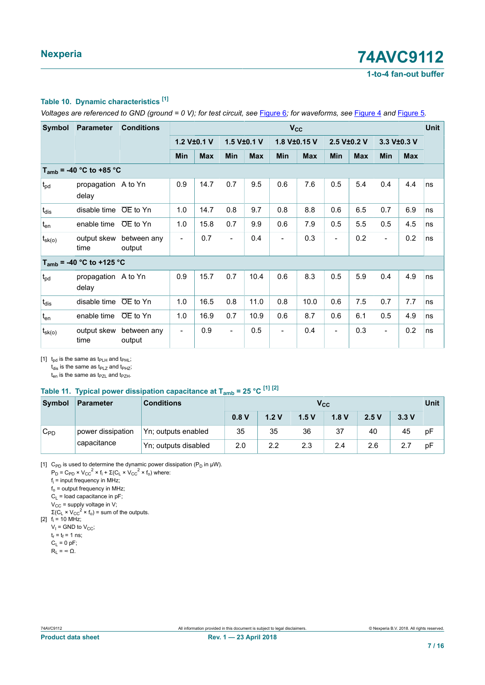**1-to-4 fan-out buffer**

#### <span id="page-6-0"></span>**Table 10. Dynamic characteristics [\[1\]](#page-6-0)**

Voltages are referenced to GND (ground = 0 V); for test circuit, see [Figure 6](#page-8-0); for waveforms, see [Figure 4](#page-7-0) and [Figure 5](#page-7-1).

<span id="page-6-1"></span>

| <b>Symbol</b>   | <b>Conditions</b><br><b>Parameter</b> |                       |                          | $V_{CC}$   |                          |            |     |              |                          |             | Unit                     |             |    |
|-----------------|---------------------------------------|-----------------------|--------------------------|------------|--------------------------|------------|-----|--------------|--------------------------|-------------|--------------------------|-------------|----|
|                 |                                       |                       | 1.2 V±0.1 V              |            | 1.5 V±0.1 V              |            |     | 1.8 V±0.15 V |                          | 2.5 V±0.2 V |                          | 3.3 V±0.3 V |    |
|                 |                                       |                       | Min                      | <b>Max</b> | <b>Min</b>               | <b>Max</b> | Min | <b>Max</b>   | <b>Min</b>               | <b>Max</b>  | <b>Min</b>               | <b>Max</b>  |    |
|                 | $T_{amb}$ = -40 °C to +85 °C          |                       |                          |            |                          |            |     |              |                          |             |                          |             |    |
| t <sub>pd</sub> | propagation<br>delay                  | A to Yn               | 0.9                      | 14.7       | 0.7                      | 9.5        | 0.6 | 7.6          | 0.5                      | 5.4         | 0.4                      | 4.4         | ns |
| $t_{dis}$       | disable time                          | $\overline{OE}$ to Yn | 1.0                      | 14.7       | 0.8                      | 9.7        | 0.8 | 8.8          | 0.6                      | 6.5         | 0.7                      | 6.9         | ns |
| $t_{en}$        | enable time                           | $\overline{OE}$ to Yn | 1.0                      | 15.8       | 0.7                      | 9.9        | 0.6 | 7.9          | 0.5                      | 5.5         | 0.5                      | 4.5         | ns |
| $t_{sk(o)}$     | output skew<br>time                   | between any<br>output | $\overline{\phantom{a}}$ | 0.7        | $\overline{\phantom{0}}$ | 0.4        |     | 0.3          | $\overline{\phantom{a}}$ | 0.2         | $\overline{\phantom{a}}$ | 0.2         | ns |
|                 | $T_{amb}$ = -40 °C to +125 °C         |                       |                          |            |                          |            |     |              |                          |             |                          |             |    |
| $t_{\rm pd}$    | propagation<br>delay                  | A to Yn               | 0.9                      | 15.7       | 0.7                      | 10.4       | 0.6 | 8.3          | 0.5                      | 5.9         | 0.4                      | 4.9         | ns |
| $t_{dis}$       | disable time                          | $\overline{OE}$ to Yn | 1.0                      | 16.5       | 0.8                      | 11.0       | 0.8 | 10.0         | 0.6                      | 7.5         | 0.7                      | 7.7         | ns |
| $t_{en}$        | enable time                           | OE to Yn              | 1.0                      | 16.9       | 0.7                      | 10.9       | 0.6 | 8.7          | 0.6                      | 6.1         | 0.5                      | 4.9         | ns |
| $t_{sk(o)}$     | output skew<br>time                   | between any<br>output | $\overline{\phantom{a}}$ | 0.9        | $\overline{\phantom{0}}$ | 0.5        |     | 0.4          | $\overline{\phantom{a}}$ | 0.3         | $\overline{\phantom{a}}$ | 0.2         | ns |

[1]  $t_{pd}$  is the same as  $t_{PLH}$  and  $t_{PHL}$ ;

 $t_{dis}$  is the same as  $t_{PLZ}$  and  $t_{PHZ}$ ;

 $t_{en}$  is the same as  $t_{PZL}$  and  $t_{PZH}$ .

## **Table 11. Typical power dissipation capacitance at <sup>T</sup>amb = 25 °C [\[1\]](#page-6-0) [\[2\]](#page-6-1)**

| Symbol   | <b>Parameter</b>  | <b>Conditions</b>    | $\mathsf{v}_\mathsf{cc}$ |      |      | Unit |      |      |    |
|----------|-------------------|----------------------|--------------------------|------|------|------|------|------|----|
|          |                   |                      | 0.8V                     | 1.2V | 1.5V | 1.8V | 2.5V | 3.3V |    |
| $C_{PD}$ | power dissipation | Yn; outputs enabled  | 35                       | 35   | 36   | 37   | 40   | 45   | pF |
|          | capacitance       | Yn; outputs disabled | 2.0                      | 2.2  | 2.3  | 2.4  | 2.6  | 2.7  | pF |

[1]  $C_{PD}$  is used to determine the dynamic power dissipation (P<sub>D</sub> in  $\mu$ W).

 $P_D = C_{PD} \times V_{CC}^2 \times f_i + \Sigma (C_L \times V_{CC}^2 \times f_0)$  where:

fi = input frequency in MHz;

 $f_0$  = output frequency in MHz;

 $C_L$  = load capacitance in pF;

 $V_{CC}$  = supply voltage in V;

 $\Sigma(C_L \times V_{CC}^2 \times f_0) = \text{sum of the outputs.}$ 

[2]  $f_i = 10 \text{ MHz}$ ;

 $V_{I}$  = GND to  $V_{CC}$ ;

- $t_r = t_f = 1$  ns;  $C_L = 0$  pF;
- $R_L = \infty$  Ω.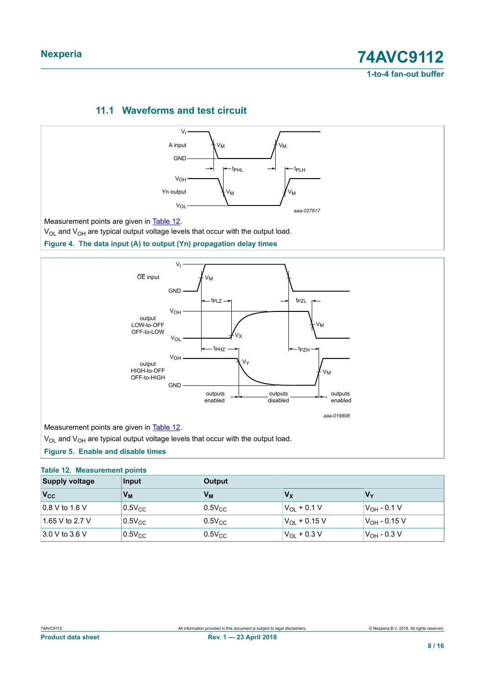**Nexperia 74AVC9112 1-to-4 fan-out buffer**

## <span id="page-7-3"></span>**11.1 Waveforms and test circuit**

<span id="page-7-0"></span>



<span id="page-7-1"></span>

#### <span id="page-7-2"></span>**Figure 5. Enable and disable times**

#### **Table 12. Measurement points**

| <b>Supply voltage</b>  | Input       | Output      |                   |                          |  |
|------------------------|-------------|-------------|-------------------|--------------------------|--|
| $V_{\rm CC}$           | Vм          | Vм          | $V_{\rm X}$       | $V_{Y}$                  |  |
| $\vert$ 0.8 V to 1.6 V | $0.5V_{CC}$ | $0.5V_{CC}$ | $V_{OL}$ + 0.1 V  | V <sub>OH</sub> - 0.1 V  |  |
| 1.65 V to 2.7 V        | $0.5V_{CC}$ | $0.5V_{CC}$ | $V_{OL}$ + 0.15 V | V <sub>OH</sub> - 0.15 V |  |
| $3.0 V$ to 3.6 V       | $0.5V_{CC}$ | $0.5V_{CC}$ | $V_{OL}$ + 0.3 V  | V <sub>OH</sub> - 0.3 V  |  |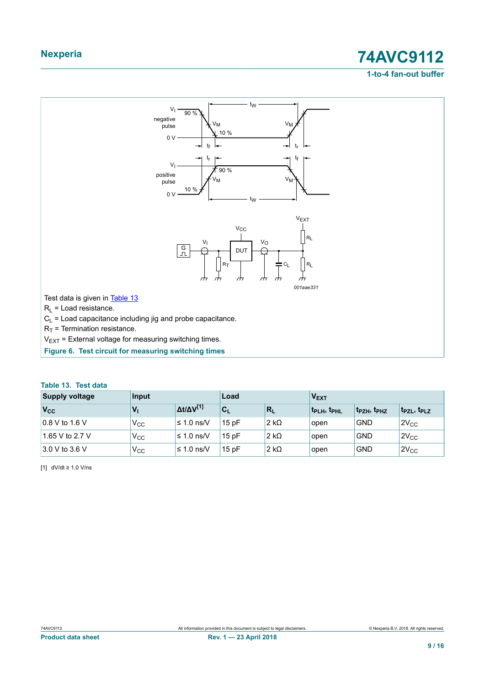#### **1-to-4 fan-out buffer**

<span id="page-8-2"></span><span id="page-8-0"></span>

<span id="page-8-1"></span>

| Table 13. Test data |  |  |  |
|---------------------|--|--|--|
|---------------------|--|--|--|

| <b>Supply voltage</b>  | Input        |                           | Load                      |              | $\mathsf{V}_{\mathsf{EXT}}$ |                                     |                       |
|------------------------|--------------|---------------------------|---------------------------|--------------|-----------------------------|-------------------------------------|-----------------------|
| $V_{\rm CC}$           | $V_{1}$      | $\Delta t/\Delta V^{[1]}$ | $\mathbf{C}_{\mathsf{L}}$ | $R_L$        | <b>TPLH, TPHL</b>           | t <sub>PZH</sub> , t <sub>PHZ</sub> | $t_{PZL}$ , $t_{PLZ}$ |
| $\vert$ 0.8 V to 1.6 V | $V_{\rm CC}$ | $≤ 1.0$ ns/V              | 15pF                      | 2 k $\Omega$ | open                        | <b>GND</b>                          | $2V_{CC}$             |
| 1.65 V to 2.7 V        | $V_{CC}$     | $≤ 1.0$ ns/V              | 15pF                      | 2 k $\Omega$ | open                        | <b>GND</b>                          | $2V_{CC}$             |
| $3.0 V$ to 3.6 V       | $V_{\rm CC}$ | $≤ 1.0$ ns/V              | 15pF                      | 2 k $\Omega$ | open                        | <b>GND</b>                          | $2V_{CC}$             |

[1] dV/dt ≥ 1.0 V/ns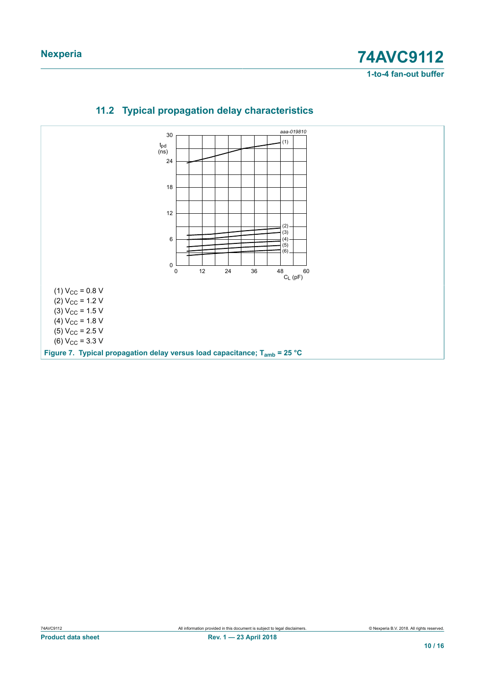

### <span id="page-9-0"></span>**11.2 Typical propagation delay characteristics**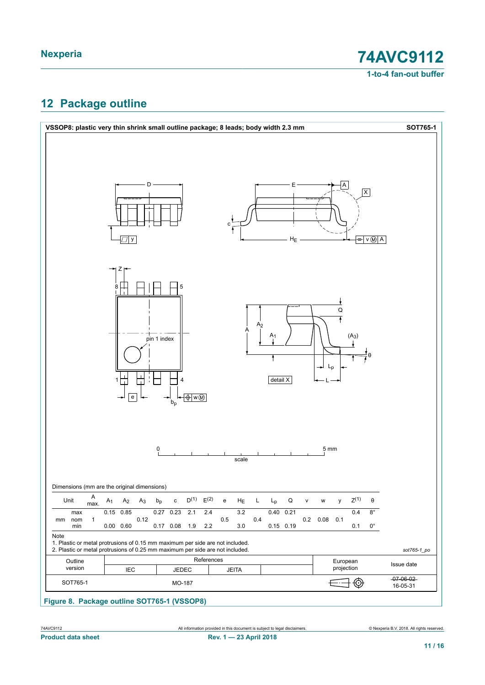**1-to-4 fan-out buffer**

## <span id="page-10-0"></span>**12 Package outline**



**Figure 8. Package outline SOT765-1 (VSSOP8)**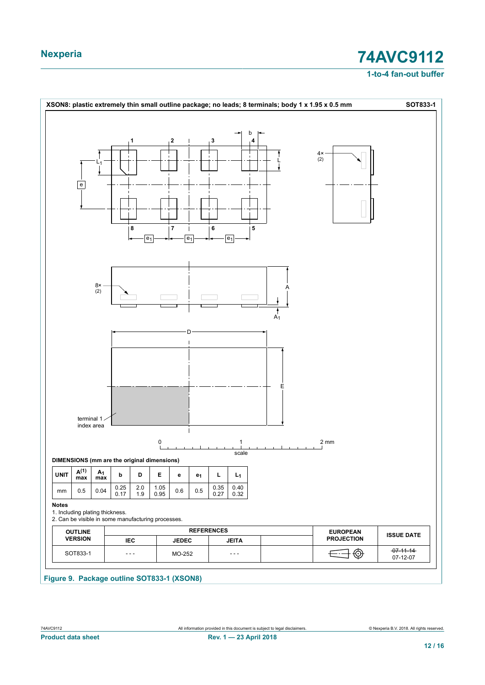#### **1-to-4 fan-out buffer**

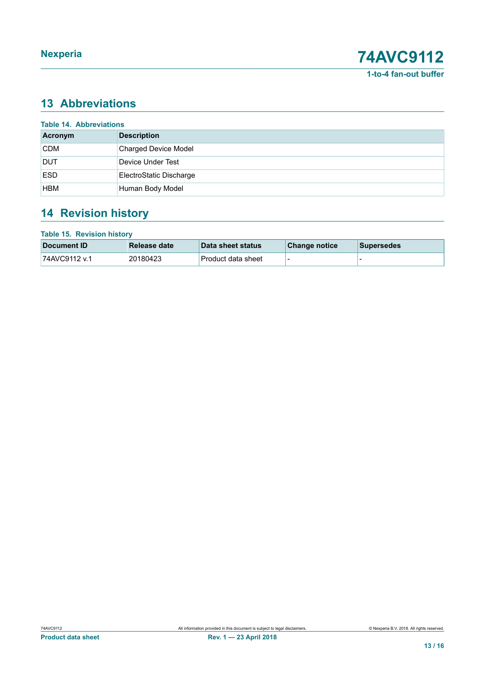**1-to-4 fan-out buffer**

## <span id="page-12-0"></span>**13 Abbreviations**

| <b>Table 14. Abbreviations</b> |                             |  |  |  |
|--------------------------------|-----------------------------|--|--|--|
| Acronym                        | <b>Description</b>          |  |  |  |
| <b>CDM</b>                     | <b>Charged Device Model</b> |  |  |  |
| <b>DUT</b>                     | Device Under Test           |  |  |  |
| <b>ESD</b>                     | ElectroStatic Discharge     |  |  |  |
| HBM                            | Human Body Model            |  |  |  |

## <span id="page-12-1"></span>**14 Revision history**

| <b>Table 15. Revision history</b> |  |
|-----------------------------------|--|
|-----------------------------------|--|

| Document ID   | Release date | <b>Data sheet status</b> | Change notice | <b>Supersedes</b> |
|---------------|--------------|--------------------------|---------------|-------------------|
| 74AVC9112 v.1 | 20180423     | Product data sheet       |               |                   |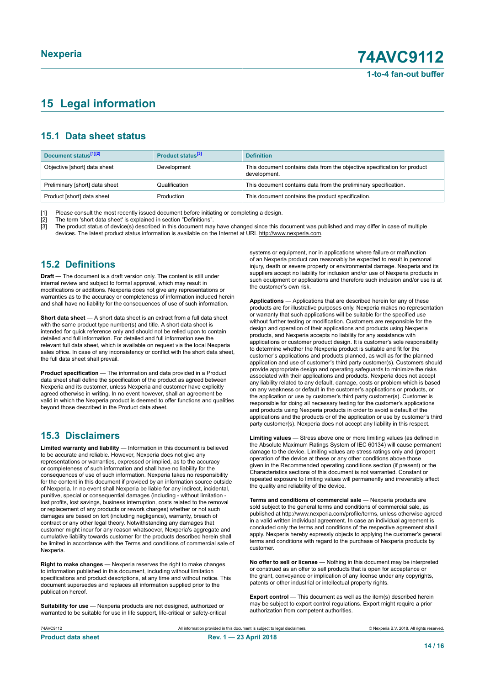## <span id="page-13-0"></span>**15 Legal information**

#### **15.1 Data sheet status**

| Document status <sup>[1][2]</sup> | Product status <sup>[3]</sup> | <b>Definition</b>                                                                        |
|-----------------------------------|-------------------------------|------------------------------------------------------------------------------------------|
| Objective [short] data sheet      | Development                   | This document contains data from the objective specification for product<br>development. |
| Preliminary [short] data sheet    | Qualification                 | This document contains data from the preliminary specification.                          |
| Product [short] data sheet        | Production                    | This document contains the product specification.                                        |

[1] Please consult the most recently issued document before initiating or completing a design.

[2] The term 'short data sheet' is explained in section "Definitions".<br>[3] The product status of device(s) described in this document may [3] The product status of device(s) described in this document may have changed since this document was published and may differ in case of multiple devices. The latest product status information is available on the Internet at URL http://www.nexperia.com.

#### **15.2 Definitions**

**Draft** — The document is a draft version only. The content is still under internal review and subject to formal approval, which may result in modifications or additions. Nexperia does not give any representations or warranties as to the accuracy or completeness of information included herein and shall have no liability for the consequences of use of such information.

**Short data sheet** — A short data sheet is an extract from a full data sheet with the same product type number(s) and title. A short data sheet is intended for quick reference only and should not be relied upon to contain detailed and full information. For detailed and full information see the relevant full data sheet, which is available on request via the local Nexperia sales office. In case of any inconsistency or conflict with the short data sheet, the full data sheet shall prevail.

**Product specification** — The information and data provided in a Product data sheet shall define the specification of the product as agreed between Nexperia and its customer, unless Nexperia and customer have explicitly agreed otherwise in writing. In no event however, shall an agreement be valid in which the Nexperia product is deemed to offer functions and qualities beyond those described in the Product data sheet.

#### **15.3 Disclaimers**

**Limited warranty and liability** — Information in this document is believed to be accurate and reliable. However, Nexperia does not give any representations or warranties, expressed or implied, as to the accuracy or completeness of such information and shall have no liability for the consequences of use of such information. Nexperia takes no responsibility for the content in this document if provided by an information source outside of Nexperia. In no event shall Nexperia be liable for any indirect, incidental, punitive, special or consequential damages (including - without limitation lost profits, lost savings, business interruption, costs related to the removal or replacement of any products or rework charges) whether or not such damages are based on tort (including negligence), warranty, breach of contract or any other legal theory. Notwithstanding any damages that customer might incur for any reason whatsoever, Nexperia's aggregate and cumulative liability towards customer for the products described herein shall be limited in accordance with the Terms and conditions of commercial sale of Nexperia.

**Right to make changes** — Nexperia reserves the right to make changes to information published in this document, including without limitation specifications and product descriptions, at any time and without notice. This document supersedes and replaces all information supplied prior to the publication hereof.

**Suitability for use** — Nexperia products are not designed, authorized or warranted to be suitable for use in life support, life-critical or safety-critical systems or equipment, nor in applications where failure or malfunction of an Nexperia product can reasonably be expected to result in personal injury, death or severe property or environmental damage. Nexperia and its suppliers accept no liability for inclusion and/or use of Nexperia products in such equipment or applications and therefore such inclusion and/or use is at the customer's own risk.

**Applications** — Applications that are described herein for any of these products are for illustrative purposes only. Nexperia makes no representation or warranty that such applications will be suitable for the specified use without further testing or modification. Customers are responsible for the design and operation of their applications and products using Nexperia products, and Nexperia accepts no liability for any assistance with applications or customer product design. It is customer's sole responsibility to determine whether the Nexperia product is suitable and fit for the customer's applications and products planned, as well as for the planned application and use of customer's third party customer(s). Customers should provide appropriate design and operating safeguards to minimize the risks associated with their applications and products. Nexperia does not accept any liability related to any default, damage, costs or problem which is based on any weakness or default in the customer's applications or products, or the application or use by customer's third party customer(s). Customer is responsible for doing all necessary testing for the customer's applications and products using Nexperia products in order to avoid a default of the applications and the products or of the application or use by customer's third party customer(s). Nexperia does not accept any liability in this respect.

**Limiting values** — Stress above one or more limiting values (as defined in the Absolute Maximum Ratings System of IEC 60134) will cause permanent damage to the device. Limiting values are stress ratings only and (proper) operation of the device at these or any other conditions above those given in the Recommended operating conditions section (if present) or the Characteristics sections of this document is not warranted. Constant or repeated exposure to limiting values will permanently and irreversibly affect the quality and reliability of the device.

**Terms and conditions of commercial sale** — Nexperia products are sold subject to the general terms and conditions of commercial sale, as published at http://www.nexperia.com/profile/terms, unless otherwise agreed in a valid written individual agreement. In case an individual agreement is concluded only the terms and conditions of the respective agreement shall apply. Nexperia hereby expressly objects to applying the customer's general terms and conditions with regard to the purchase of Nexperia products by customer.

**No offer to sell or license** — Nothing in this document may be interpreted or construed as an offer to sell products that is open for acceptance or the grant, conveyance or implication of any license under any copyrights, patents or other industrial or intellectual property rights.

**Export control** — This document as well as the item(s) described herein may be subject to export control regulations. Export might require a prior authorization from competent authorities.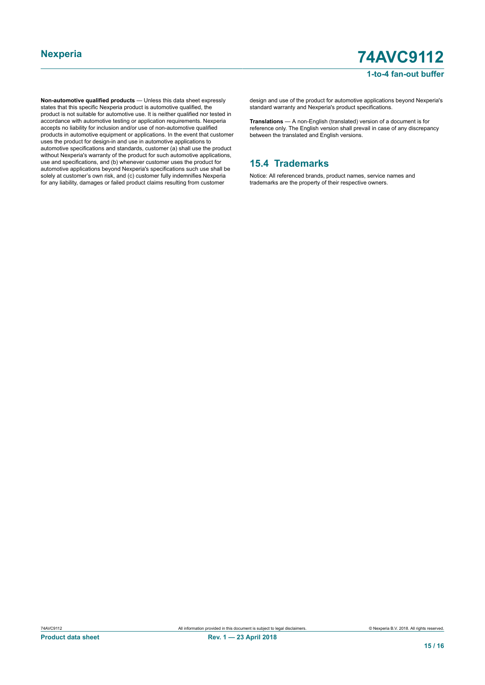#### **1-to-4 fan-out buffer**

**Non-automotive qualified products** — Unless this data sheet expressly states that this specific Nexperia product is automotive qualified, the product is not suitable for automotive use. It is neither qualified nor tested in accordance with automotive testing or application requirements. Nexperia accepts no liability for inclusion and/or use of non-automotive qualified products in automotive equipment or applications. In the event that customer uses the product for design-in and use in automotive applications to automotive specifications and standards, customer (a) shall use the product without Nexperia's warranty of the product for such automotive applications, use and specifications, and (b) whenever customer uses the product for automotive applications beyond Nexperia's specifications such use shall be solely at customer's own risk, and (c) customer fully indemnifies Nexperia for any liability, damages or failed product claims resulting from customer

design and use of the product for automotive applications beyond Nexperia's standard warranty and Nexperia's product specifications.

**Translations** — A non-English (translated) version of a document is for reference only. The English version shall prevail in case of any discrepancy between the translated and English versions.

#### **15.4 Trademarks**

Notice: All referenced brands, product names, service names and trademarks are the property of their respective owners.